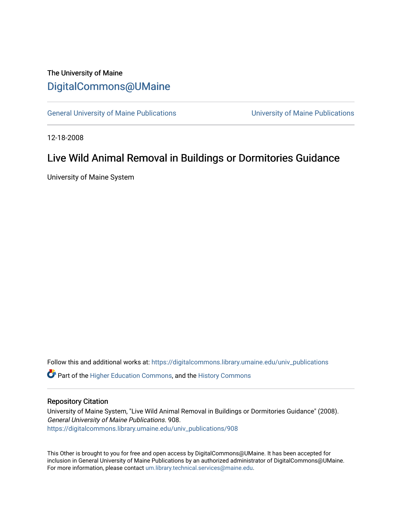## The University of Maine [DigitalCommons@UMaine](https://digitalcommons.library.umaine.edu/)

[General University of Maine Publications](https://digitalcommons.library.umaine.edu/univ_publications) [University of Maine Publications](https://digitalcommons.library.umaine.edu/umaine_publications) 

12-18-2008

## Live Wild Animal Removal in Buildings or Dormitories Guidance

University of Maine System

Follow this and additional works at: [https://digitalcommons.library.umaine.edu/univ\\_publications](https://digitalcommons.library.umaine.edu/univ_publications?utm_source=digitalcommons.library.umaine.edu%2Funiv_publications%2F908&utm_medium=PDF&utm_campaign=PDFCoverPages) 

**C** Part of the [Higher Education Commons,](http://network.bepress.com/hgg/discipline/1245?utm_source=digitalcommons.library.umaine.edu%2Funiv_publications%2F908&utm_medium=PDF&utm_campaign=PDFCoverPages) and the [History Commons](http://network.bepress.com/hgg/discipline/489?utm_source=digitalcommons.library.umaine.edu%2Funiv_publications%2F908&utm_medium=PDF&utm_campaign=PDFCoverPages)

## Repository Citation

University of Maine System, "Live Wild Animal Removal in Buildings or Dormitories Guidance" (2008). General University of Maine Publications. 908. [https://digitalcommons.library.umaine.edu/univ\\_publications/908](https://digitalcommons.library.umaine.edu/univ_publications/908?utm_source=digitalcommons.library.umaine.edu%2Funiv_publications%2F908&utm_medium=PDF&utm_campaign=PDFCoverPages) 

This Other is brought to you for free and open access by DigitalCommons@UMaine. It has been accepted for inclusion in General University of Maine Publications by an authorized administrator of DigitalCommons@UMaine. For more information, please contact [um.library.technical.services@maine.edu](mailto:um.library.technical.services@maine.edu).